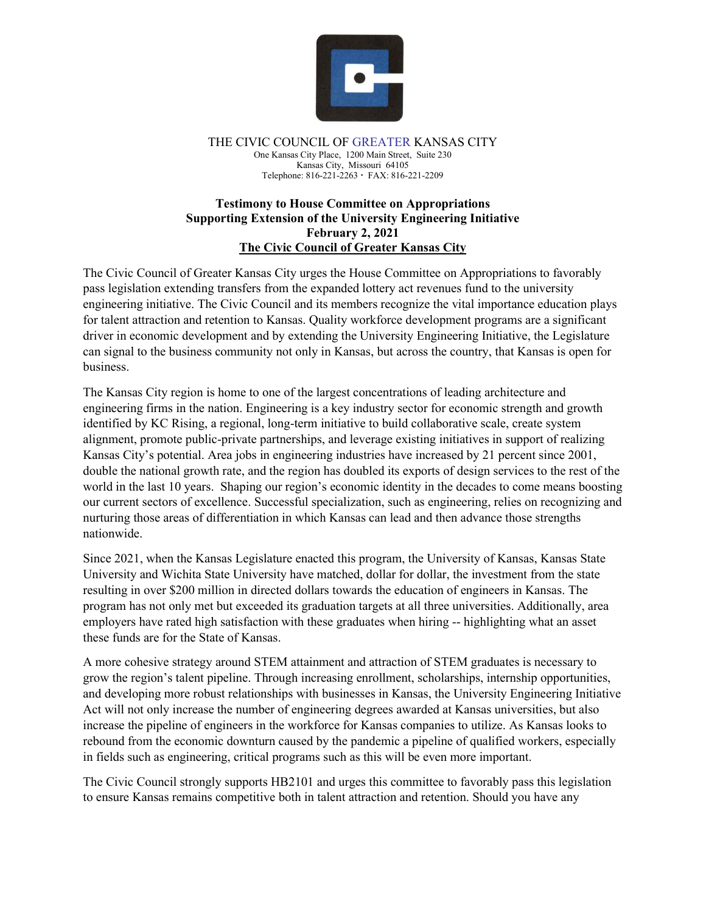

THE CIVIC COUNCIL OF GREATER KANSAS CITY One Kansas City Place, 1200 Main Street, Suite 230 Kansas City, Missouri 64105 Telephone: 816-221-2263 FAX: 816-221-2209

## **Testimony to House Committee on Appropriations Supporting Extension of the University Engineering Initiative February 2, 2021 The Civic Council of Greater Kansas City**

The Civic Council of Greater Kansas City urges the House Committee on Appropriations to favorably pass legislation extending transfers from the expanded lottery act revenues fund to the university engineering initiative. The Civic Council and its members recognize the vital importance education plays for talent attraction and retention to Kansas. Quality workforce development programs are a significant driver in economic development and by extending the University Engineering Initiative, the Legislature can signal to the business community not only in Kansas, but across the country, that Kansas is open for business.

The Kansas City region is home to one of the largest concentrations of leading architecture and engineering firms in the nation. Engineering is a key industry sector for economic strength and growth identified by KC Rising, a regional, long-term initiative to build collaborative scale, create system alignment, promote public-private partnerships, and leverage existing initiatives in support of realizing Kansas City's potential. Area jobs in engineering industries have increased by 21 percent since 2001, double the national growth rate, and the region has doubled its exports of design services to the rest of the world in the last 10 years. Shaping our region's economic identity in the decades to come means boosting our current sectors of excellence. Successful specialization, such as engineering, relies on recognizing and nurturing those areas of differentiation in which Kansas can lead and then advance those strengths nationwide.

Since 2021, when the Kansas Legislature enacted this program, the University of Kansas, Kansas State University and Wichita State University have matched, dollar for dollar, the investment from the state resulting in over \$200 million in directed dollars towards the education of engineers in Kansas. The program has not only met but exceeded its graduation targets at all three universities. Additionally, area employers have rated high satisfaction with these graduates when hiring -- highlighting what an asset these funds are for the State of Kansas.

A more cohesive strategy around STEM attainment and attraction of STEM graduates is necessary to grow the region's talent pipeline. Through increasing enrollment, scholarships, internship opportunities, and developing more robust relationships with businesses in Kansas, the University Engineering Initiative Act will not only increase the number of engineering degrees awarded at Kansas universities, but also increase the pipeline of engineers in the workforce for Kansas companies to utilize. As Kansas looks to rebound from the economic downturn caused by the pandemic a pipeline of qualified workers, especially in fields such as engineering, critical programs such as this will be even more important.

The Civic Council strongly supports HB2101 and urges this committee to favorably pass this legislation to ensure Kansas remains competitive both in talent attraction and retention. Should you have any